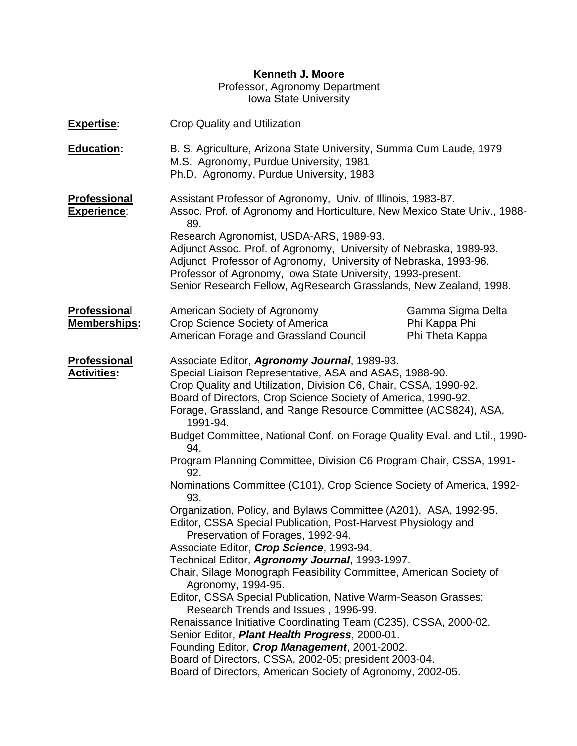## **Kenneth J. Moore**

## Professor, Agronomy Department Iowa State University

| <b>Expertise:</b>                          | <b>Crop Quality and Utilization</b>                                                                                                                                                                                                                                                                                                                                                                                                                                                                                                                                                                                                                                                                                                                                                                                                                                                                                                                                                                                                                                                                                                                                                                                                                                                                                                               |                                                       |  |  |  |
|--------------------------------------------|---------------------------------------------------------------------------------------------------------------------------------------------------------------------------------------------------------------------------------------------------------------------------------------------------------------------------------------------------------------------------------------------------------------------------------------------------------------------------------------------------------------------------------------------------------------------------------------------------------------------------------------------------------------------------------------------------------------------------------------------------------------------------------------------------------------------------------------------------------------------------------------------------------------------------------------------------------------------------------------------------------------------------------------------------------------------------------------------------------------------------------------------------------------------------------------------------------------------------------------------------------------------------------------------------------------------------------------------------|-------------------------------------------------------|--|--|--|
| <b>Education:</b>                          | B. S. Agriculture, Arizona State University, Summa Cum Laude, 1979<br>M.S. Agronomy, Purdue University, 1981<br>Ph.D. Agronomy, Purdue University, 1983                                                                                                                                                                                                                                                                                                                                                                                                                                                                                                                                                                                                                                                                                                                                                                                                                                                                                                                                                                                                                                                                                                                                                                                           |                                                       |  |  |  |
| <b>Professional</b><br><b>Experience:</b>  | Assistant Professor of Agronomy, Univ. of Illinois, 1983-87.<br>Assoc. Prof. of Agronomy and Horticulture, New Mexico State Univ., 1988-<br>89.<br>Research Agronomist, USDA-ARS, 1989-93.<br>Adjunct Assoc. Prof. of Agronomy, University of Nebraska, 1989-93.<br>Adjunct Professor of Agronomy, University of Nebraska, 1993-96.<br>Professor of Agronomy, Iowa State University, 1993-present.<br>Senior Research Fellow, AgResearch Grasslands, New Zealand, 1998.                                                                                                                                                                                                                                                                                                                                                                                                                                                                                                                                                                                                                                                                                                                                                                                                                                                                           |                                                       |  |  |  |
| <b>Professional</b><br><b>Memberships:</b> | American Society of Agronomy<br>Crop Science Society of America<br>American Forage and Grassland Council                                                                                                                                                                                                                                                                                                                                                                                                                                                                                                                                                                                                                                                                                                                                                                                                                                                                                                                                                                                                                                                                                                                                                                                                                                          | Gamma Sigma Delta<br>Phi Kappa Phi<br>Phi Theta Kappa |  |  |  |
| <b>Professional</b><br><b>Activities:</b>  | Associate Editor, Agronomy Journal, 1989-93.<br>Special Liaison Representative, ASA and ASAS, 1988-90.<br>Crop Quality and Utilization, Division C6, Chair, CSSA, 1990-92.<br>Board of Directors, Crop Science Society of America, 1990-92.<br>Forage, Grassland, and Range Resource Committee (ACS824), ASA,<br>1991-94.<br>Budget Committee, National Conf. on Forage Quality Eval. and Util., 1990-<br>94.<br>Program Planning Committee, Division C6 Program Chair, CSSA, 1991-<br>92.<br>Nominations Committee (C101), Crop Science Society of America, 1992-<br>93.<br>Organization, Policy, and Bylaws Committee (A201), ASA, 1992-95.<br>Editor, CSSA Special Publication, Post-Harvest Physiology and<br>Preservation of Forages, 1992-94<br>Associate Editor, Crop Science, 1993-94.<br>Technical Editor, Agronomy Journal, 1993-1997.<br>Chair, Silage Monograph Feasibility Committee, American Society of<br>Agronomy, 1994-95.<br>Editor, CSSA Special Publication, Native Warm-Season Grasses:<br>Research Trends and Issues, 1996-99.<br>Renaissance Initiative Coordinating Team (C235), CSSA, 2000-02.<br>Senior Editor, Plant Health Progress, 2000-01.<br>Founding Editor, Crop Management, 2001-2002.<br>Board of Directors, CSSA, 2002-05; president 2003-04.<br>Board of Directors, American Society of Agronomy, 2002-05. |                                                       |  |  |  |